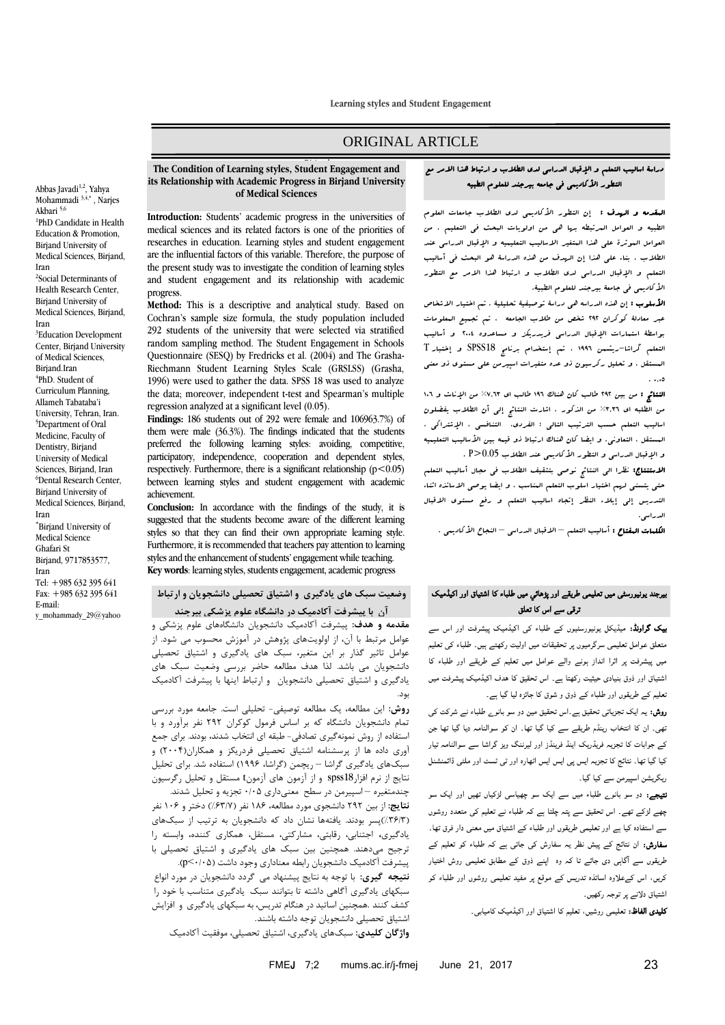**Learning styles and Student Engagement**

# ORIGINAL ARTICLE

### **The Condition of Learning styles, Student Engagement and its Relationship with Academic Progress in Birjand University of Medical Sciences**

**Introduction:** Students' academic progress in the universities of medical sciences and its related factors is one of the priorities of researches in education. Learning styles and student engagement are the influential factors of this variable. Therefore, the purpose of the present study was to investigate the condition of learning styles and student engagement and its relationship with academic progress.

**Method:** This is a descriptive and analytical study. Based on Cochran's sample size formula, the study population included 292 students of the university that were selected via stratified random sampling method. The Student Engagement in Schools Questionnaire (SESQ) by Fredricks et al. (2004) and The Grasha-Riechmann Student Learning Styles Scale (GRSLSS) (Grasha, 1996) were used to gather the data. SPSS 18 was used to analyze the data; moreover, independent t-test and Spearman's multiple regression analyzed at a significant level (0.05).

**Findings:** 186 students out of 292 were female and 106963.7%) of them were male (36.3%). The findings indicated that the students preferred the following learning styles: avoiding, competitive, participatory, independence, cooperation and dependent styles, respectively. Furthermore, there is a significant relationship  $(p<0.05)$ between learning styles and student engagement with academic achievement.

**Conclusion:** In accordance with the findings of the study, it is suggested that the students become aware of the different learning styles so that they can find their own appropriate learning style. Furthermore, it is recommended that teachers pay attention to learning styles and the enhancement of students' engagement while teaching. **Key words**: learning styles, students engagement, academic progress

# **وضعیت سبک های یادگیری و اشتیاق تحصیلی دانشجویان و ارتباط**

 **مقدمه و هدف:** پیشرفت آکادمیک دانشجویان دانشگاههای علوم پزشکی و عوامل مرتبط با آن، از اولویتهای پژوهش در آموزش محسوب می شود. از عوامل تاثیر گذار بر این متغیر، سبک های یادگیری و اشتیاق تحصیلی دانشجویان می باشد. لذا هدف مطالعه حاضر بررسی وضعیت سبک های یادگیری و اشتیاق تحصیلی دانشجویان و ارتباط اینها با پیشرفت آکادمیک بود. **آن با پیشرفت آکادمیک در دانشگاه علوم پزشکی بیرجند**

**روش:** این مطالعه، یک مطالعه توصیفی- تحلیلی است. جامعه مورد بررسی تمام دانشجویان دانشگاه که بر اساس فرمول کوکران 292 نفر برآورد و با استفاده از روش نمونهگیری تصادفی- طبقه ای انتخاب شدند، بودند. برای جمع آوری داده ها از پرسشنامه اشتیاق تحصیلی فردریکز و همکاران)2002( و سبکهای یادگیری گراشا – ریچمن )گراشا، 6991( استفاده شد. برای تحلیل نتایج از نرم افزار18spss و از آزمون های آزمونt مستقل و تحلیل رگرسیون چندمتغیره – اسپیرمن در سطح معنیداری 0/00 تجزیه و تحلیل شدند.

**نتایج:** از بین 292 دانشجوی مورد مطالعه، 681 نفر )%16/7( دختر و 601 نفر )%61/6(پسر بودند. یافتهها نشان داد که دانشجویان به ترتیب از سبکهای یادگیری**،** اجتنابی، رقابتی، مشارکتی، مستقل، همکاری کننده، وابسته را ترجیح میدهند. همچنین بین سبک های یادگیری و اشتیاق تحصیلی با پیشرفت آکادمیک دانشجویان رابطه معناداری وجود داشت )0/00<p).

**نتیجه گیری:** با توجه به نتایج پیشنهاد می گردد دانشجویان در مورد انواع سبکهای یادگیری آگاهی داشته تا بتوانند سبک یادگیری متناسب با خود را کشف کنند .همچنین اساتید در هنگام تدریس، به سبکهای یادگیری و افزایش اشتیاق تحصیلی دانشجویان توجه داشته باشند.

**واژگان کلیدی:** سبکهای یادگیری، اشتیاق تحصیلی، موفقیت آکادمیک

ا**لبقدمه و الهدف :** إن التطور الأكاديم<sub>ی</sub> لدی الطلاب جامعات العلوم الطبیه و العوامل المرتبطه بها هی من اولویات البحث فی التعلیم . من العوامل ال<sub>مو</sub>ثرة عل<sub>ى</sub> هذا البتغیر الاسالیب التعلیمیه و الإقبال الدراس<sub>ی</sub> عند الطالب . بناء علی هذا إن الهدف من هذه الدراسة هو البحث فی أسالیب التعلم و اإلقبال الدراسی لدی الطالب و ارتباط هذا االمر مع التطور األکادیمی فی جامعة بیرجند للعلوم الطبیة.

ا**لأسلوب :** إن هذه الدراسه ه<sub>ی</sub> دراسة توصیفیة تحلیلیة . تم اختیار الاشخاص عبر معادلة کوکران 292 شخص من طالب الجامعه ، تم تجمیع المعلومات بواسطة استمارات اإلقبال الدراسی فریدریکز و مساعدوه 2002 و أسالیب التعلم گراشا-ریشمن 6991 ، تم إستخدام برنامج 18SPSS و إختبار T المستقل ، و تحلیل رکرسیون ذو عده متغیرات اسپیرمن علی مستوی ذو معنی  $\ldots$ 

النتائج : من بین 292 طالب کان هناک 691 طالب ای %3017 من اإلناث و 601 من الطلبه ای %7071 من الذکور . اشارت النتائج إلی أن الطالب یفضلون اسالیب التعلم حسب الترتیب التالی : الفردی، التنافسی ، اإلشتراکی ، الدستقل ، التعاونی. و ایضا کان هناك ارتباط ذو قیمه بین الأسالیب التعلیمیه و اإلقبال الدراسی و التطور األکادیمی عند الطالب 0.05<P .

االستنتاج: نظرا الی النتائج نوصی بتثقیف الطالب فی مجال أسالیب التعلم حتی یتسنی لهم اختیار اسلوب التعلم المناسب ، و ایضا یوصی االساتذه اثناء التدریس إلی إیالء النظر إتجاه اسالیب التعلم و رفع مستوی االقبال الدراسی.

ا**لکلهات البفتاح :** أسالیب التعلم – الاقبال الدراس<sub>ی</sub> – النجاح الأکادیمی .

### بیرجند یونیورسٹی میں تعلیمی طریقے اور پڑھائي میں طلباء کا اشتیاق اور اکیڈمیک ترقی سے اس کا تعلق

بیک گراونڈ: میڈیکل یونیورسٹیوں کے طلباء کی اکیڈمیک پیشرفت اور اس سے متعلق عوامل تعلیمی سرگرمیوں پر تحقیقات میں اولیت رکھتے ہیں۔ طلباء کی تعلیم میں پیشرفت پر اثرا انداز ہونے والے عوامل میں تعلیم کے طریقے اور طلباء کا اشتیاق اور ذوق بنیادی حیثیت رکھتا ہے۔ اس تحقیق کا ھدف اکیڈمیک پیشرفت میں تعلیم کے طریقوں اور طلباء کے ذوق و شوق کا جائزہ لیا گيا ہے۔

روش: یہ ایک تجزیاتی تحقیق ہے۔اس تحقیق مین دو سو بانوے طلباء نے شرکت کی تھی۔ ان کا انتخاب رینڈم طریقے سے کیا گيا تھا۔ ان کو سوالنامہ دیا گیا تھا جن کے جوابات کا تجزیہ فریڈریک اینڈ فرینڈز اور لیرننگ ویز گراشا سے سوالنامہ تیار کیا گیا تھا۔ نتائج کا تجزیہ ایس پی ایس ایس اٹھارہ اور ٹی ٹسٹ اور ملٹی ڈائمنشنل ریگریشن اسپیرمن سے کیا گيا۔

نتیجے: دو سو بانوے طلباء میں سے ایک سو چھیاسی لڑکیاں تھیں اور ایک سو چھے لڑکے تھے۔ اس تحقیق سے پتہ چلتا ہے کہ طلباء نے تعلیم کی متعدد روشوں سے استفادہ کیا ہے اور تعلیمی طریقوں اور طلباء کے اشتیاق میں معنی دار فرق تھا۔ سفارش: ان نتائج کے پیش نظر یہ سفارش کی جاتی ہے کہ طلباء کو تعلیم کے طریقوں سے ا گاہی دی جائے تا کہ وہ اپنے ذوق کے مطابق تعلیمی روش اختیار کریں، اس کےعلاوہ اساتذہ تدریس کے موقع پر مفید تعلیمی روشوں اور طلباء کو اشتیاق دلانے پر توجہ رکھیں۔

کلیدی الفاظ: تعلیمی روشیں، تعلیم کا اشتیاق اور اکیڈمیک کامیابی۔

Abbas Javadi<sup>1,2</sup>, Yahya Mohammadi 3,4,\* , Narjes Akbari 5,6 1 PhD Candidate in Health Education & Promotion, Birjand University of Medical Sciences, Birjand, Iran <sup>2</sup>Social Determinants of Health Research Center,

Birjand University of Medical Sciences, Birjand, Iran <sup>3</sup>Education Development Center, Biriand University of Medical Sciences, Birjand.Iran 4 PhD. Student of

Curriculum Planning,

Allameh Tabataba'i University, Tehran, Iran. <sup>5</sup>Department of Oral Medicine, Faculty of Dentistry, Birjand University of Medical Sciences, Birjand, Iran <sup>6</sup>Dental Research Center, Birjand University of Medical Sciences, Birjand, Iran Birjand University of Medical Science

Ghafari St Birjand, 9717853577, Iran Tel: +985 632 395 641 Fax: +985 632 395 641 E-mail:

y\_mohammady\_29@yahoo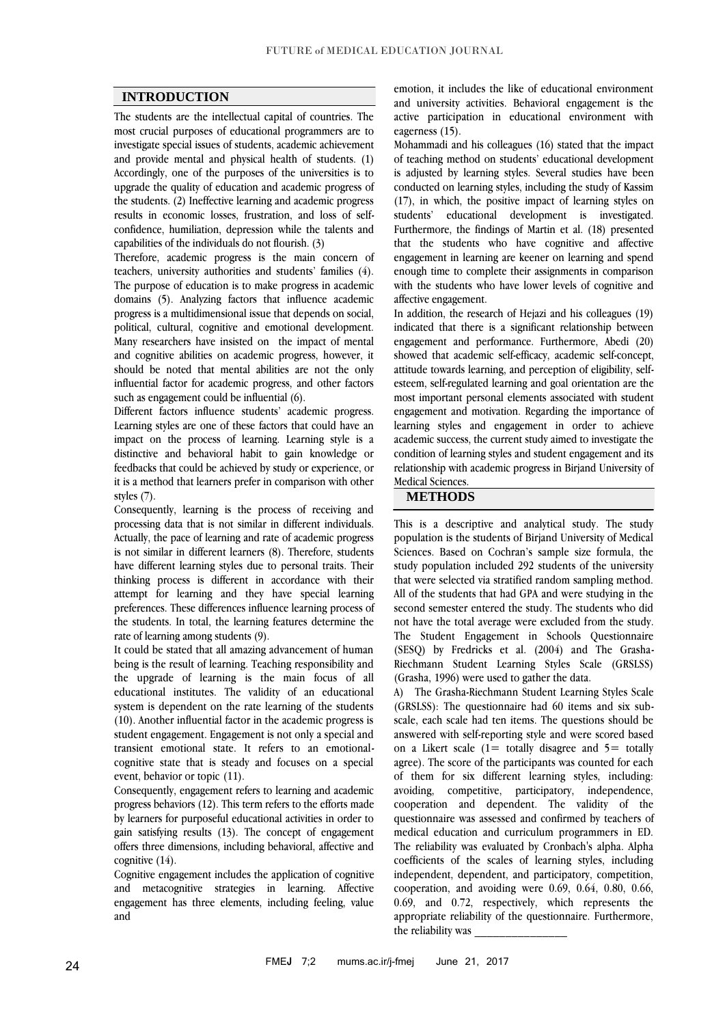### **INTRODUCTION**

The students are the intellectual capital of countries. The most crucial purposes of educational programmers are to investigate special issues of students, academic achievement and provide mental and physical health of students. (1) Accordingly, one of the purposes of the universities is to upgrade the quality of education and academic progress of the students. (2) Ineffective learning and academic progress results in economic losses, frustration, and loss of selfconfidence, humiliation, depression while the talents and capabilities of the individuals do not flourish. (3)

Therefore, academic progress is the main concern of teachers, university authorities and students' families (4). The purpose of education is to make progress in academic domains (5). Analyzing factors that influence academic progress is a multidimensional issue that depends on social, political, cultural, cognitive and emotional development. Many researchers have insisted on the impact of mental and cognitive abilities on academic progress, however, it should be noted that mental abilities are not the only influential factor for academic progress, and other factors such as engagement could be influential (6).

Different factors influence students' academic progress. Learning styles are one of these factors that could have an impact on the process of learning. Learning style is a distinctive and behavioral habit to gain knowledge or feedbacks that could be achieved by study or experience, or it is a method that learners prefer in comparison with other styles (7).

Consequently, learning is the process of receiving and processing data that is not similar in different individuals. Actually, the pace of learning and rate of academic progress is not similar in different learners (8). Therefore, students have different learning styles due to personal traits. Their thinking process is different in accordance with their attempt for learning and they have special learning preferences. These differences influence learning process of the students. In total, the learning features determine the rate of learning among students (9).

It could be stated that all amazing advancement of human being is the result of learning. Teaching responsibility and the upgrade of learning is the main focus of all educational institutes. The validity of an educational system is dependent on the rate learning of the students (10). Another influential factor in the academic progress is student engagement. Engagement is not only a special and transient emotional state. It refers to an emotionalcognitive state that is steady and focuses on a special event, behavior or topic (11).

Consequently, engagement refers to learning and academic progress behaviors (12). This term refers to the efforts made by learners for purposeful educational activities in order to gain satisfying results (13). The concept of engagement offers three dimensions, including behavioral, affective and cognitive (14).

Cognitive engagement includes the application of cognitive and metacognitive strategies in learning. Affective engagement has three elements, including feeling, value and

emotion, it includes the like of educational environment and university activities. Behavioral engagement is the active participation in educational environment with eagerness (15).

Mohammadi and his colleagues (16) stated that the impact of teaching method on students' educational development is adjusted by learning styles. Several studies have been conducted on learning styles, including the study of Kassim (17), in which, the positive impact of learning styles on students' educational development is investigated. Furthermore, the findings of Martin et al. (18) presented that the students who have cognitive and affective engagement in learning are keener on learning and spend enough time to complete their assignments in comparison with the students who have lower levels of cognitive and affective engagement.

In addition, the research of Hejazi and his colleagues (19) indicated that there is a significant relationship between engagement and performance. Furthermore, Abedi (20) showed that academic self-efficacy, academic self-concept, attitude towards learning, and perception of eligibility, selfesteem, self-regulated learning and goal orientation are the most important personal elements associated with student engagement and motivation. Regarding the importance of learning styles and engagement in order to achieve academic success, the current study aimed to investigate the condition of learning styles and student engagement and its relationship with academic progress in Birjand University of Medical Sciences.

#### **METHODS**

This is a descriptive and analytical study. The study population is the students of Birjand University of Medical Sciences. Based on Cochran's sample size formula, the study population included 292 students of the university that were selected via stratified random sampling method. All of the students that had GPA and were studying in the second semester entered the study. The students who did not have the total average were excluded from the study. The Student Engagement in Schools Questionnaire (SESQ) by Fredricks et al. (2004) and The Grasha-Riechmann Student Learning Styles Scale (GRSLSS) (Grasha, 1996) were used to gather the data.

A) The Grasha-Riechmann Student Learning Styles Scale (GRSLSS): The questionnaire had 60 items and six subscale, each scale had ten items. The questions should be answered with self-reporting style and were scored based on a Likert scale  $(1=$  totally disagree and  $5=$  totally agree). The score of the participants was counted for each of them for six different learning styles, including: avoiding, competitive, participatory, independence, cooperation and dependent. The validity of the questionnaire was assessed and confirmed by teachers of medical education and curriculum programmers in ED. The reliability was evaluated by Cronbach's alpha. Alpha coefficients of the scales of learning styles, including independent, dependent, and participatory, competition, cooperation, and avoiding were 0.69, 0.64, 0.80, 0.66, 0.69, and 0.72, respectively, which represents the appropriate reliability of the questionnaire. Furthermore, the reliability was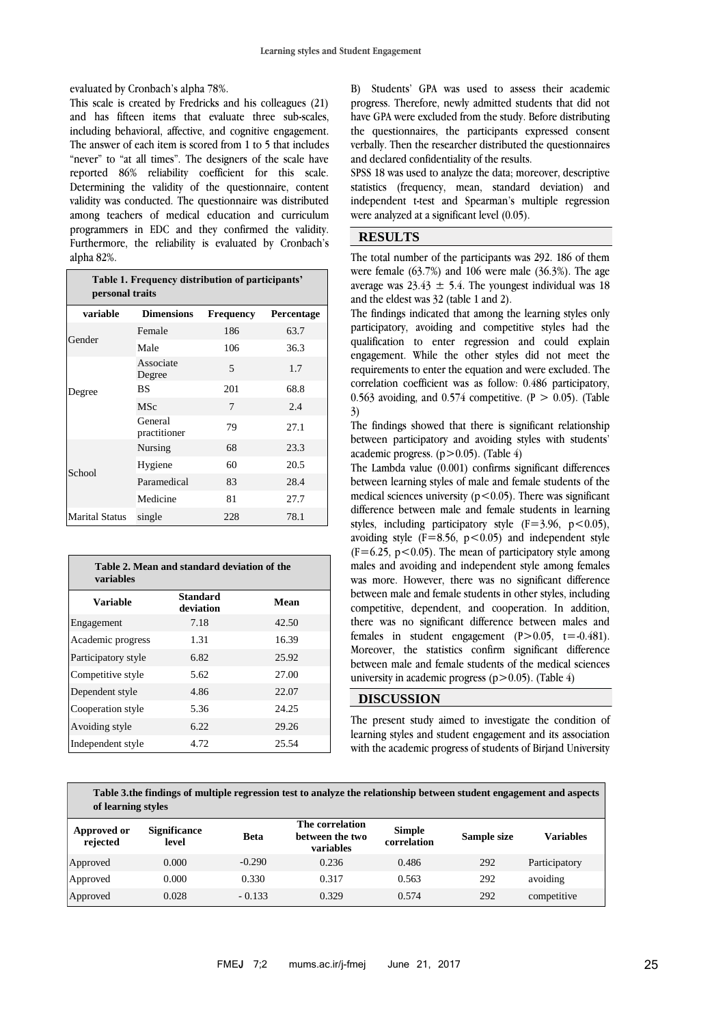evaluated by Cronbach's alpha 78%.

This scale is created by Fredricks and his colleagues (21) and has fifteen items that evaluate three sub-scales, including behavioral, affective, and cognitive engagement. The answer of each item is scored from 1 to 5 that includes "never" to "at all times". The designers of the scale have reported 86% reliability coefficient for this scale. Determining the validity of the questionnaire, content validity was conducted. The questionnaire was distributed among teachers of medical education and curriculum programmers in EDC and they confirmed the validity. Furthermore, the reliability is evaluated by Cronbach's alpha 82%.

| Table 1. Frequency distribution of participants'<br>personal traits |                         |                  |            |  |  |  |
|---------------------------------------------------------------------|-------------------------|------------------|------------|--|--|--|
| variable                                                            | <b>Dimensions</b>       | <b>Frequency</b> | Percentage |  |  |  |
| Gender                                                              | Female                  | 186              | 63.7       |  |  |  |
|                                                                     | Male                    | 106              | 36.3       |  |  |  |
|                                                                     | Associate<br>Degree     | 5                | 1.7        |  |  |  |
| Degree                                                              | ВS                      | 201              | 68.8       |  |  |  |
|                                                                     | <b>MSc</b>              | 7                | 2.4        |  |  |  |
|                                                                     | General<br>practitioner | 79               | 27.1       |  |  |  |
|                                                                     | Nursing                 | 68               | 23.3       |  |  |  |
| School                                                              | Hygiene                 | 60               | 20.5       |  |  |  |
|                                                                     | Paramedical             | 83               | 28.4       |  |  |  |
|                                                                     | Medicine                | 81               | 27.7       |  |  |  |
| <b>Marital Status</b>                                               | single                  | 228              | 78.1       |  |  |  |

| Table 2. Mean and standard deviation of the<br><b>variables</b> |                              |       |  |  |  |  |
|-----------------------------------------------------------------|------------------------------|-------|--|--|--|--|
| Variable                                                        | <b>Standard</b><br>deviation | Mean  |  |  |  |  |
| Engagement                                                      | 7.18                         | 42.50 |  |  |  |  |
| Academic progress                                               | 1.31                         | 16.39 |  |  |  |  |
| Participatory style                                             | 6.82                         | 25.92 |  |  |  |  |
| Competitive style                                               | 5.62                         | 27.00 |  |  |  |  |
| Dependent style                                                 | 4.86                         | 22.07 |  |  |  |  |
| Cooperation style                                               | 5.36                         | 24.25 |  |  |  |  |
| Avoiding style                                                  | 6.22                         | 29.26 |  |  |  |  |
| Independent style                                               | 4.72                         | 25.54 |  |  |  |  |

B) Students' GPA was used to assess their academic progress. Therefore, newly admitted students that did not have GPA were excluded from the study. Before distributing the questionnaires, the participants expressed consent verbally. Then the researcher distributed the questionnaires and declared confidentiality of the results.

SPSS 18 was used to analyze the data; moreover, descriptive statistics (frequency, mean, standard deviation) and independent t-test and Spearman's multiple regression were analyzed at a significant level (0.05).

## **RESULTS**

The total number of the participants was 292. 186 of them were female (63.7%) and 106 were male (36.3%). The age average was  $23.43 \pm 5.4$ . The youngest individual was 18 and the eldest was 32 (table 1 and 2).

The findings indicated that among the learning styles only participatory, avoiding and competitive styles had the qualification to enter regression and could explain engagement. While the other styles did not meet the requirements to enter the equation and were excluded. The correlation coefficient was as follow: 0.486 participatory, 0.563 avoiding, and 0.574 competitive.  $(P > 0.05)$ . (Table 3)

The findings showed that there is significant relationship between participatory and avoiding styles with students' academic progress.  $(p>0.05)$ . (Table 4)

The Lambda value (0.001) confirms significant differences between learning styles of male and female students of the medical sciences university ( $p < 0.05$ ). There was significant difference between male and female students in learning styles, including participatory style  $(F=3.96, p<0.05)$ , avoiding style  $(F=8.56, p<0.05)$  and independent style  $(F=6.25, p<0.05)$ . The mean of participatory style among males and avoiding and independent style among females was more. However, there was no significant difference between male and female students in other styles, including competitive, dependent, and cooperation. In addition, there was no significant difference between males and females in student engagement  $(P>0.05, t=0.481)$ . Moreover, the statistics confirm significant difference between male and female students of the medical sciences university in academic progress ( $p > 0.05$ ). (Table 4)

# **DISCUSSION**

The present study aimed to investigate the condition of learning styles and student engagement and its association with the academic progress of students of Birjand University

**Table 3.the findings of multiple regression test to analyze the relationship between student engagement and aspects of learning styles**

| Approved or<br>rejected | <b>Significance</b><br>level | <b>Beta</b> | The correlation<br>between the two<br>variables | <b>Simple</b><br>correlation | Sample size | Variables     |
|-------------------------|------------------------------|-------------|-------------------------------------------------|------------------------------|-------------|---------------|
| Approved                | 0.000                        | $-0.290$    | 0.236                                           | 0.486                        | 292         | Participatory |
| Approved                | 0.000                        | 0.330       | 0.317                                           | 0.563                        | 292         | avoiding      |
| Approved                | 0.028                        | $-0.133$    | 0.329                                           | 0.574                        | 292         | competitive   |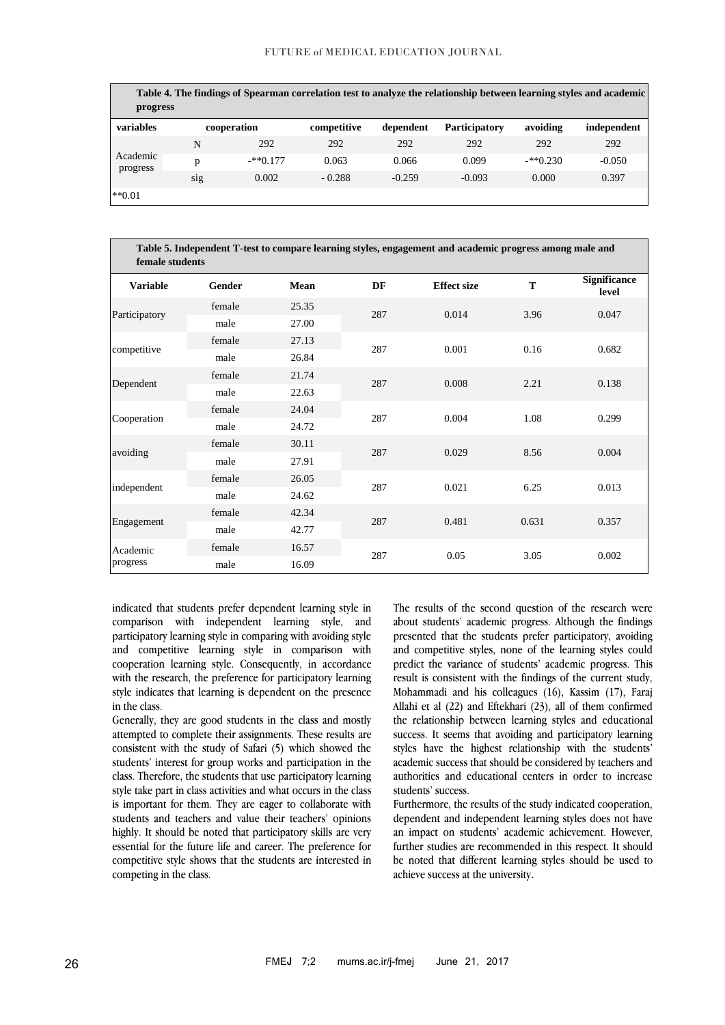### FUTURE of MEDICAL EDUCATION JOURNAL

| progress             |     |             |             |           | Table 4. The findings of Spearman correlation test to analyze the relationship between learning styles and academic |            |             |
|----------------------|-----|-------------|-------------|-----------|---------------------------------------------------------------------------------------------------------------------|------------|-------------|
| variables            |     | cooperation | competitive | dependent | <b>Participatory</b>                                                                                                | avoiding   | independent |
| Academic<br>progress | N   | 292         | 292         | 292       | 292                                                                                                                 | 292        | 292         |
|                      | p   | $-**0.177$  | 0.063       | 0.066     | 0.099                                                                                                               | $-**0.230$ | $-0.050$    |
|                      | sig | 0.002       | $-0.288$    | $-0.259$  | $-0.093$                                                                                                            | 0.000      | 0.397       |
| $**0.01$             |     |             |             |           |                                                                                                                     |            |             |

| Table 5. Independent T-test to compare learning styles, engagement and academic progress among male and<br>female students |        |             |     |                    |       |                              |  |
|----------------------------------------------------------------------------------------------------------------------------|--------|-------------|-----|--------------------|-------|------------------------------|--|
| <b>Variable</b>                                                                                                            | Gender | <b>Mean</b> | DF  | <b>Effect size</b> | T     | <b>Significance</b><br>level |  |
| Participatory                                                                                                              | female | 25.35       | 287 | 0.014              | 3.96  | 0.047                        |  |
|                                                                                                                            | male   | 27.00       |     |                    |       |                              |  |
| competitive                                                                                                                | female | 27.13       | 287 | 0.001              | 0.16  | 0.682                        |  |
|                                                                                                                            | male   | 26.84       |     |                    |       |                              |  |
| Dependent                                                                                                                  | female | 21.74       | 287 | 0.008              | 2.21  | 0.138                        |  |
|                                                                                                                            | male   | 22.63       |     |                    |       |                              |  |
|                                                                                                                            | female | 24.04       |     | 0.004              | 1.08  | 0.299                        |  |
| Cooperation                                                                                                                | male   | 24.72       | 287 |                    |       |                              |  |
|                                                                                                                            | female | 30.11       | 287 | 0.029              | 8.56  | 0.004                        |  |
| avoiding                                                                                                                   | male   | 27.91       |     |                    |       |                              |  |
| independent                                                                                                                | female | 26.05       | 287 | 0.021              | 6.25  | 0.013                        |  |
|                                                                                                                            | male   | 24.62       |     |                    |       |                              |  |
| Engagement                                                                                                                 | female | 42.34       | 287 | 0.481              | 0.631 | 0.357                        |  |
|                                                                                                                            | male   | 42.77       |     |                    |       |                              |  |
| Academic<br>progress                                                                                                       | female | 16.57       |     | 0.05               | 3.05  | 0.002                        |  |
|                                                                                                                            | male   | 16.09       | 287 |                    |       |                              |  |

indicated that students prefer dependent learning style in comparison with independent learning style, and participatory learning style in comparing with avoiding style and competitive learning style in comparison with cooperation learning style. Consequently, in accordance with the research, the preference for participatory learning style indicates that learning is dependent on the presence in the class.

Generally, they are good students in the class and mostly attempted to complete their assignments. These results are consistent with the study of Safari (5) which showed the students' interest for group works and participation in the class. Therefore, the students that use participatory learning style take part in class activities and what occurs in the class is important for them. They are eager to collaborate with students and teachers and value their teachers' opinions highly. It should be noted that participatory skills are very essential for the future life and career. The preference for competitive style shows that the students are interested in competing in the class.

The results of the second question of the research were about students' academic progress. Although the findings presented that the students prefer participatory, avoiding and competitive styles, none of the learning styles could predict the variance of students' academic progress. This result is consistent with the findings of the current study, Mohammadi and his colleagues (16), Kassim (17), Faraj Allahi et al (22) and Eftekhari (23), all of them confirmed the relationship between learning styles and educational success. It seems that avoiding and participatory learning styles have the highest relationship with the students' academic success that should be considered by teachers and authorities and educational centers in order to increase students' success.

Furthermore, the results of the study indicated cooperation, dependent and independent learning styles does not have an impact on students' academic achievement. However, further studies are recommended in this respect. It should be noted that different learning styles should be used to achieve success at the university.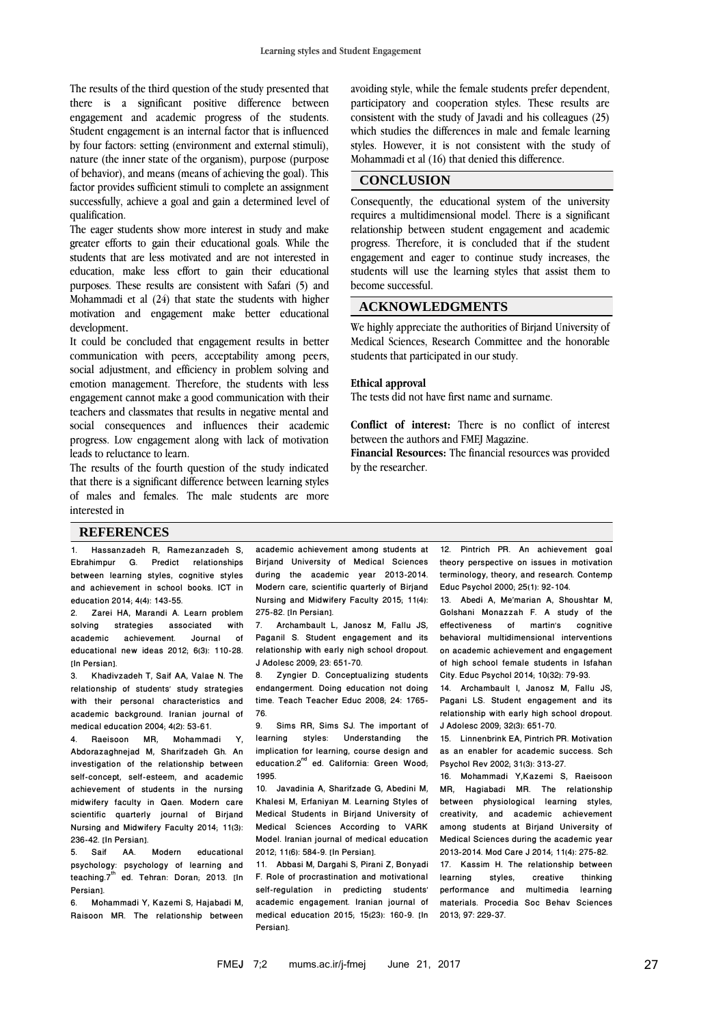The results of the third question of the study presented that there is a significant positive difference between engagement and academic progress of the students. Student engagement is an internal factor that is influenced by four factors: setting (environment and external stimuli), nature (the inner state of the organism), purpose (purpose of behavior), and means (means of achieving the goal). This factor provides sufficient stimuli to complete an assignment successfully, achieve a goal and gain a determined level of qualification.

The eager students show more interest in study and make greater efforts to gain their educational goals. While the students that are less motivated and are not interested in education, make less effort to gain their educational purposes. These results are consistent with Safari (5) and Mohammadi et al (24) that state the students with higher motivation and engagement make better educational development.

It could be concluded that engagement results in better communication with peers, acceptability among peers, social adjustment, and efficiency in problem solving and emotion management. Therefore, the students with less engagement cannot make a good communication with their teachers and classmates that results in negative mental and social consequences and influences their academic progress. Low engagement along with lack of motivation leads to reluctance to learn.

The results of the fourth question of the study indicated that there is a significant difference between learning styles of males and females. The male students are more interested in

avoiding style, while the female students prefer dependent, participatory and cooperation styles. These results are consistent with the study of Javadi and his colleagues (25) which studies the differences in male and female learning styles. However, it is not consistent with the study of Mohammadi et al (16) that denied this difference.

### **CONCLUSION**

Consequently, the educational system of the university requires a multidimensional model. There is a significant relationship between student engagement and academic progress. Therefore, it is concluded that if the student engagement and eager to continue study increases, the students will use the learning styles that assist them to become successful.

### **ACKNOWLEDGMENTS**

We highly appreciate the authorities of Birjand University of Medical Sciences, Research Committee and the honorable students that participated in our study.

#### **Ethical approval**

The tests did not have first name and surname.

**Conflict of interest:** There is no conflict of interest between the authors and FMEJ Magazine.

**Financial Resources:** The financial resources was provided by the researcher.

#### **REFERENCES**

1. Hassanzadeh R, Ramezanzadeh S, Ebrahimpur G. Predict relationships between learning styles, cognitive styles and achievement in school books. ICT in education 2014; 4(4): 143-55.

2. Zarei HA, Marandi A. Learn problem<br>solving strategies associated with solving strategies associated with<br>academic achievement. Journal of academic achievement. Journal of educational new ideas 2012; 6(3): 110-28. [In Persian].

3. Khadivzadeh T, Saif AA, Valae N. The relationship of students' study strategies with their personal characteristics and academic background. Iranian journal of medical education 2004; 4(2): 53-61.

4. Raeisoon MR, Mohammadi Y, Abdorazaghnejad M, Sharifzadeh Gh. An investigation of the relationship between self-concept, self-esteem, and academic achievement of students in the nursing midwifery faculty in Qaen. Modern care scientific quarterly journal of Birjand Nursing and Midwifery Faculty 2014; 11(3): 236-42. [In Persian].<br>5 Saif AA Modern

5. Saif AA. Modern educational psychology: psychology of learning and teaching.7<sup>th</sup> ed. Tehran: Doran; 2013. [In Persian].

6. Mohammadi Y, Kazemi S, Hajabadi M, Raisoon MR. The relationship between

academic achievement among students at Birjand University of Medical Sciences during the academic year 2013-2014. Modern care, scientific quarterly of Birjand Nursing and Midwifery Faculty 2015; 11(4): 275-82. [In Persian].<br>7. Archambault L

7. Archambault L, Janosz M, Fallu JS, Paganil S. Student engagement and its relationship with early nigh school dropout. J Adolesc 2009; 23: 651-70.

Zyngier D. Conceptualizing students endangerment. Doing education not doing time. Teach Teacher Educ 2008; 24: 1765- 76.

Sims RR, Sims SJ. The important of learning styles: Understanding the implication for learning, course design and education.2<sup>nd</sup> ed. California: Green Wood; 1995.

10. Javadinia A, Sharifzade G, Abedini M, Khalesi M, Erfaniyan M. Learning Styles of Medical Students in Birjand University of Medical Sciences According to VARK Model. Iranian journal of medical education 2012; 11(6): 584-9. [In Persian].

11. Abbasi M, Dargahi S, Pirani Z, Bonyadi F. Role of procrastination and motivational self-regulation in predicting students' academic engagement. Iranian journal of medical education 2015; 15(23): 160-9. [In Persian].

12. Pintrich PR. An achievement goal theory perspective on issues in motivation terminology, theory, and research. Contemp Educ Psychol 2000; 25(1): 92-104.

13. Abedi A, Me'marian A, Shoushtar M, Golshani Monazzah F. A study of the<br>effectiveness of martin's cognitive effectiveness of martin's behavioral multidimensional interventions on academic achievement and engagement of high school female students in Isfahan City. Educ Psychol 2014; 10(32): 79-93.

14. Archambault I, Janosz M, Fallu JS, Pagani LS. Student engagement and its relationship with early high school dropout. J Adolesc 2009; 32(3): 651-70.

15. Linnenbrink EA, Pintrich PR. Motivation as an enabler for academic success. Sch Psychol Rev 2002; 31(3): 313-27.

16. Mohammadi Y,Kazemi S, Raeisoon MR, Hagiabadi MR. The relationship between physiological learning styles, creativity, and academic achievement among students at Birjand University of Medical Sciences during the academic year 2013-2014. Mod Care J 2014; 11(4): 275-82. 17. Kassim H. The relationship between<br>learning styles, creative thinking learning styles, creative thinking performance and multimedia learning materials. Procedia Soc Behav Sciences 2013; 97: 229-37.